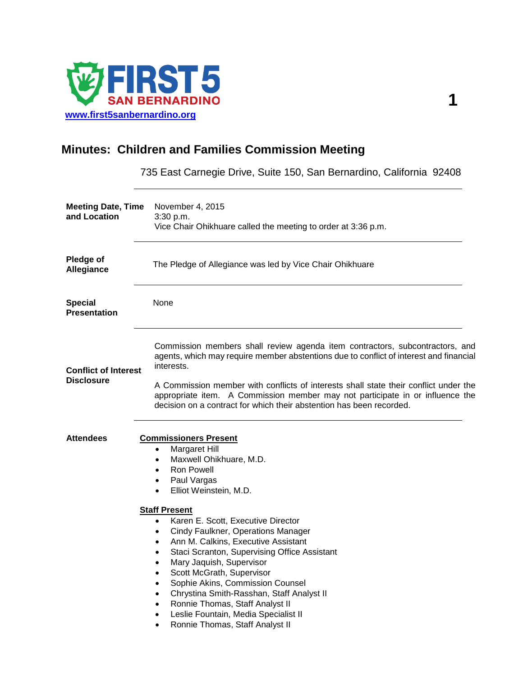

## **Minutes: Children and Families Commission Meeting**

735 East Carnegie Drive, Suite 150, San Bernardino, California 92408

| <b>Meeting Date, Time</b><br>and Location        | November 4, 2015<br>3:30 p.m.<br>Vice Chair Ohikhuare called the meeting to order at 3:36 p.m.                                                                                                                                                                                                                                                                                                                                                                                                                                                                                                                                                                                                                                                |
|--------------------------------------------------|-----------------------------------------------------------------------------------------------------------------------------------------------------------------------------------------------------------------------------------------------------------------------------------------------------------------------------------------------------------------------------------------------------------------------------------------------------------------------------------------------------------------------------------------------------------------------------------------------------------------------------------------------------------------------------------------------------------------------------------------------|
| Pledge of<br>Allegiance                          | The Pledge of Allegiance was led by Vice Chair Ohikhuare                                                                                                                                                                                                                                                                                                                                                                                                                                                                                                                                                                                                                                                                                      |
| <b>Special</b><br><b>Presentation</b>            | None                                                                                                                                                                                                                                                                                                                                                                                                                                                                                                                                                                                                                                                                                                                                          |
| <b>Conflict of Interest</b><br><b>Disclosure</b> | Commission members shall review agenda item contractors, subcontractors, and<br>agents, which may require member abstentions due to conflict of interest and financial<br>interests.<br>A Commission member with conflicts of interests shall state their conflict under the<br>appropriate item. A Commission member may not participate in or influence the<br>decision on a contract for which their abstention has been recorded.                                                                                                                                                                                                                                                                                                         |
| <b>Attendees</b>                                 | <b>Commissioners Present</b><br><b>Margaret Hill</b><br>$\bullet$<br>Maxwell Ohikhuare, M.D.<br>$\bullet$<br><b>Ron Powell</b><br>$\bullet$<br>Paul Vargas<br>٠<br>Elliot Weinstein, M.D.<br>$\bullet$<br><b>Staff Present</b><br>Karen E. Scott, Executive Director<br>$\bullet$<br><b>Cindy Faulkner, Operations Manager</b><br>٠<br>Ann M. Calkins, Executive Assistant<br>$\bullet$<br>Staci Scranton, Supervising Office Assistant<br>٠<br>Mary Jaquish, Supervisor<br>Scott McGrath, Supervisor<br>٠<br>Sophie Akins, Commission Counsel<br>$\bullet$<br>Chrystina Smith-Rasshan, Staff Analyst II<br>٠<br>Ronnie Thomas, Staff Analyst II<br>Leslie Fountain, Media Specialist II<br>٠<br>Ronnie Thomas, Staff Analyst II<br>$\bullet$ |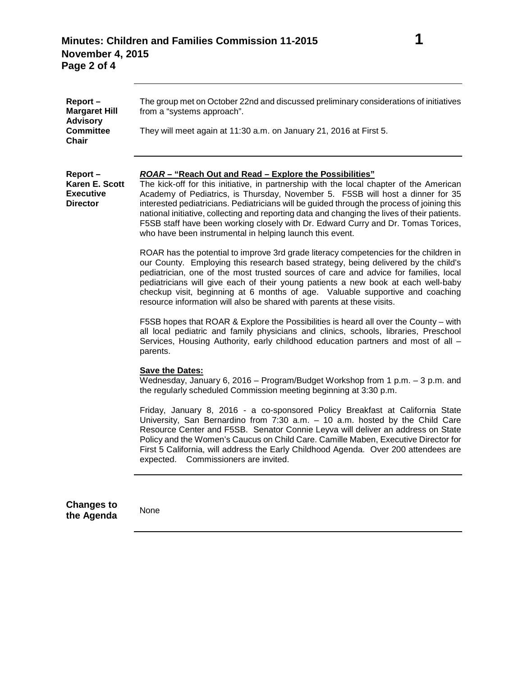| Report-<br><b>Margaret Hill</b><br><b>Advisory</b><br><b>Committee</b><br>Chair | The group met on October 22nd and discussed preliminary considerations of initiatives<br>from a "systems approach".<br>They will meet again at 11:30 a.m. on January 21, 2016 at First 5.                                                                                                                                                                                                                                                                                                                                                                                           |
|---------------------------------------------------------------------------------|-------------------------------------------------------------------------------------------------------------------------------------------------------------------------------------------------------------------------------------------------------------------------------------------------------------------------------------------------------------------------------------------------------------------------------------------------------------------------------------------------------------------------------------------------------------------------------------|
| Report-<br>Karen E. Scott<br><b>Executive</b><br><b>Director</b>                | ROAR – "Reach Out and Read – Explore the Possibilities"<br>The kick-off for this initiative, in partnership with the local chapter of the American<br>Academy of Pediatrics, is Thursday, November 5. F5SB will host a dinner for 35<br>interested pediatricians. Pediatricians will be guided through the process of joining this<br>national initiative, collecting and reporting data and changing the lives of their patients.<br>F5SB staff have been working closely with Dr. Edward Curry and Dr. Tomas Torices,<br>who have been instrumental in helping launch this event. |
|                                                                                 | ROAR has the potential to improve 3rd grade literacy competencies for the children in<br>our County. Employing this research based strategy, being delivered by the child's<br>pediatrician, one of the most trusted sources of care and advice for families, local<br>pediatricians will give each of their young patients a new book at each well-baby<br>checkup visit, beginning at 6 months of age. Valuable supportive and coaching<br>resource information will also be shared with parents at these visits.                                                                 |
|                                                                                 | F5SB hopes that ROAR & Explore the Possibilities is heard all over the County – with<br>all local pediatric and family physicians and clinics, schools, libraries, Preschool<br>Services, Housing Authority, early childhood education partners and most of all -<br>parents.                                                                                                                                                                                                                                                                                                       |
|                                                                                 | <b>Save the Dates:</b><br>Wednesday, January 6, 2016 – Program/Budget Workshop from 1 p.m. - 3 p.m. and<br>the regularly scheduled Commission meeting beginning at 3:30 p.m.                                                                                                                                                                                                                                                                                                                                                                                                        |
|                                                                                 | Friday, January 8, 2016 - a co-sponsored Policy Breakfast at California State<br>University, San Bernardino from $7:30$ a.m. $-10$ a.m. hosted by the Child Care<br>Resource Center and F5SB. Senator Connie Leyva will deliver an address on State<br>Policy and the Women's Caucus on Child Care. Camille Maben, Executive Director for<br>First 5 California, will address the Early Childhood Agenda. Over 200 attendees are<br>Commissioners are invited.<br>expected.                                                                                                         |
| <b>Changes to</b><br>the Agenda                                                 | None                                                                                                                                                                                                                                                                                                                                                                                                                                                                                                                                                                                |
|                                                                                 |                                                                                                                                                                                                                                                                                                                                                                                                                                                                                                                                                                                     |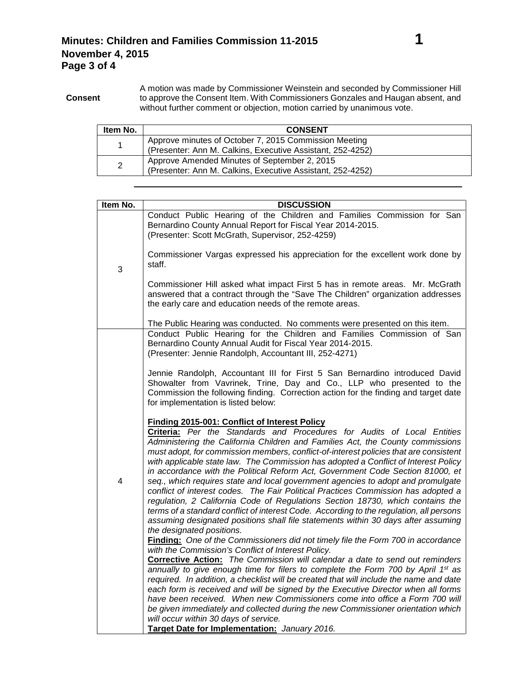| Item No. | <b>CONSENT</b>                                                                                                      |
|----------|---------------------------------------------------------------------------------------------------------------------|
|          | Approve minutes of October 7, 2015 Commission Meeting<br>(Presenter: Ann M. Calkins, Executive Assistant, 252-4252) |
| 2        | Approve Amended Minutes of September 2, 2015<br>(Presenter: Ann M. Calkins, Executive Assistant, 252-4252)          |

| <b>DISCUSSION</b>                                                                                                                                                                                                                                                                                                                                                                                                                                                                                                                                                                                                                                                                                                                                                                                                                                                                                                                                                                                                                                                                                                                                                                                                                                                                                                                                                                                                                                                                                                                                                                                                                                                         |
|---------------------------------------------------------------------------------------------------------------------------------------------------------------------------------------------------------------------------------------------------------------------------------------------------------------------------------------------------------------------------------------------------------------------------------------------------------------------------------------------------------------------------------------------------------------------------------------------------------------------------------------------------------------------------------------------------------------------------------------------------------------------------------------------------------------------------------------------------------------------------------------------------------------------------------------------------------------------------------------------------------------------------------------------------------------------------------------------------------------------------------------------------------------------------------------------------------------------------------------------------------------------------------------------------------------------------------------------------------------------------------------------------------------------------------------------------------------------------------------------------------------------------------------------------------------------------------------------------------------------------------------------------------------------------|
| Conduct Public Hearing of the Children and Families Commission for San<br>Bernardino County Annual Report for Fiscal Year 2014-2015.<br>(Presenter: Scott McGrath, Supervisor, 252-4259)                                                                                                                                                                                                                                                                                                                                                                                                                                                                                                                                                                                                                                                                                                                                                                                                                                                                                                                                                                                                                                                                                                                                                                                                                                                                                                                                                                                                                                                                                  |
| Commissioner Vargas expressed his appreciation for the excellent work done by<br>staff.                                                                                                                                                                                                                                                                                                                                                                                                                                                                                                                                                                                                                                                                                                                                                                                                                                                                                                                                                                                                                                                                                                                                                                                                                                                                                                                                                                                                                                                                                                                                                                                   |
| Commissioner Hill asked what impact First 5 has in remote areas. Mr. McGrath<br>answered that a contract through the "Save The Children" organization addresses<br>the early care and education needs of the remote areas.                                                                                                                                                                                                                                                                                                                                                                                                                                                                                                                                                                                                                                                                                                                                                                                                                                                                                                                                                                                                                                                                                                                                                                                                                                                                                                                                                                                                                                                |
| The Public Hearing was conducted. No comments were presented on this item.                                                                                                                                                                                                                                                                                                                                                                                                                                                                                                                                                                                                                                                                                                                                                                                                                                                                                                                                                                                                                                                                                                                                                                                                                                                                                                                                                                                                                                                                                                                                                                                                |
| Conduct Public Hearing for the Children and Families Commission of San<br>Bernardino County Annual Audit for Fiscal Year 2014-2015.<br>(Presenter: Jennie Randolph, Accountant III, 252-4271)                                                                                                                                                                                                                                                                                                                                                                                                                                                                                                                                                                                                                                                                                                                                                                                                                                                                                                                                                                                                                                                                                                                                                                                                                                                                                                                                                                                                                                                                             |
| Jennie Randolph, Accountant III for First 5 San Bernardino introduced David<br>Showalter from Vavrinek, Trine, Day and Co., LLP who presented to the<br>Commission the following finding. Correction action for the finding and target date<br>for implementation is listed below:                                                                                                                                                                                                                                                                                                                                                                                                                                                                                                                                                                                                                                                                                                                                                                                                                                                                                                                                                                                                                                                                                                                                                                                                                                                                                                                                                                                        |
| Finding 2015-001: Conflict of Interest Policy<br>Criteria: Per the Standards and Procedures for Audits of Local Entities<br>Administering the California Children and Families Act, the County commissions<br>must adopt, for commission members, conflict-of-interest policies that are consistent<br>with applicable state law. The Commission has adopted a Conflict of Interest Policy<br>in accordance with the Political Reform Act, Government Code Section 81000, et<br>seq., which requires state and local government agencies to adopt and promulgate<br>conflict of interest codes. The Fair Political Practices Commission has adopted a<br>regulation, 2 California Code of Regulations Section 18730, which contains the<br>terms of a standard conflict of interest Code. According to the regulation, all persons<br>assuming designated positions shall file statements within 30 days after assuming<br>the designated positions.<br>Finding: One of the Commissioners did not timely file the Form 700 in accordance<br>with the Commission's Conflict of Interest Policy.<br>Corrective Action: The Commission will calendar a date to send out reminders<br>annually to give enough time for filers to complete the Form 700 by April 1 <sup>st</sup> as<br>required. In addition, a checklist will be created that will include the name and date<br>each form is received and will be signed by the Executive Director when all forms<br>have been received. When new Commissioners come into office a Form 700 will<br>be given immediately and collected during the new Commissioner orientation which<br>will occur within 30 days of service. |
| Target Date for Implementation: January 2016.                                                                                                                                                                                                                                                                                                                                                                                                                                                                                                                                                                                                                                                                                                                                                                                                                                                                                                                                                                                                                                                                                                                                                                                                                                                                                                                                                                                                                                                                                                                                                                                                                             |
|                                                                                                                                                                                                                                                                                                                                                                                                                                                                                                                                                                                                                                                                                                                                                                                                                                                                                                                                                                                                                                                                                                                                                                                                                                                                                                                                                                                                                                                                                                                                                                                                                                                                           |